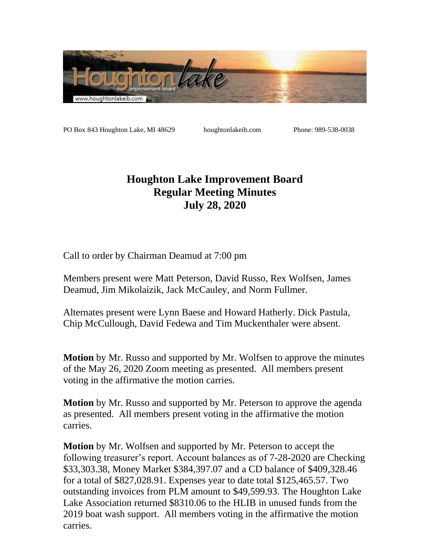

PO Box 843 Houghton Lake, MI 48629 houghtonlakeib.com Phone: 989-538-0038

## **Houghton Lake Improvement Board Regular Meeting Minutes July 28, 2020**

Call to order by Chairman Deamud at 7:00 pm

Members present were Matt Peterson, David Russo, Rex Wolfsen, James Deamud, Jim Mikolaizik, Jack McCauley, and Norm Fullmer.

Alternates present were Lynn Baese and Howard Hatherly. Dick Pastula, Chip McCullough, David Fedewa and Tim Muckenthaler were absent.

**Motion** by Mr. Russo and supported by Mr. Wolfsen to approve the minutes of the May 26, 2020 Zoom meeting as presented. All members present voting in the affirmative the motion carries.

**Motion** by Mr. Russo and supported by Mr. Peterson to approve the agenda as presented. All members present voting in the affirmative the motion carries.

**Motion** by Mr. Wolfsen and supported by Mr. Peterson to accept the following treasurer's report. Account balances as of 7-28-2020 are Checking \$33,303.38, Money Market \$384,397.07 and a CD balance of \$409,328.46 for a total of \$827,028.91. Expenses year to date total \$125,465.57. Two outstanding invoices from PLM amount to \$49,599.93. The Houghton Lake Lake Association returned \$8310.06 to the HLIB in unused funds from the 2019 boat wash support. All members voting in the affirmative the motion carries.